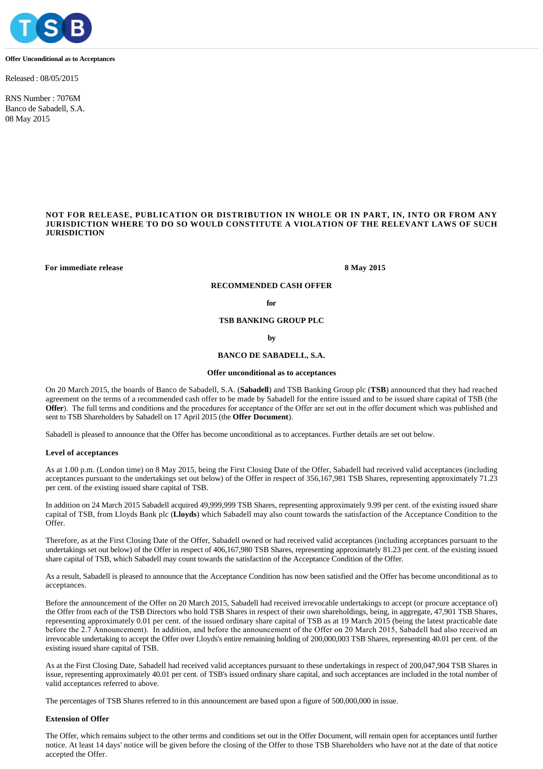

#### **Offer Unconditional as to Acceptances**

Released : 08/05/2015

RNS Number : 7076M Banco de Sabadell, S.A. 08 May 2015

## **NOT FOR RELEASE, PUBLICATION OR DISTRIBUTION IN WHOLE OR IN PART, IN, INTO OR FROM ANY JURISDICTION WHERE TO DO SO WOULD CONSTITUTE A VIOLATION OF THE RELEVANT LAWS OF SUCH JURISDICTION**

**For immediate release 8 May 2015**

# **RECOMMENDED CASH OFFER**

**for**

**TSB BANKING GROUP PLC**

**by**

## **BANCO DE SABADELL, S.A.**

#### **Offer unconditional as to acceptances**

On 20 March 2015, the boards of Banco de Sabadell, S.A. (**Sabadell**) and TSB Banking Group plc (**TSB**) announced that they had reached agreement on the terms of a recommended cash offer to be made by Sabadell for the entire issued and to be issued share capital of TSB (the **Offer**). The full terms and conditions and the procedures for acceptance of the Offer are set out in the offer document which was published and sent to TSB Shareholders by Sabadell on 17 April 2015 (the **Offer Document**).

Sabadell is pleased to announce that the Offer has become unconditional as to acceptances. Further details are set out below.

#### **Level of acceptances**

As at 1.00 p.m. (London time) on 8 May 2015, being the First Closing Date of the Offer, Sabadell had received valid acceptances (including acceptances pursuant to the undertakings set out below) of the Offer in respect of 356,167,981 TSB Shares, representing approximately 71.23 per cent. of the existing issued share capital of TSB.

In addition on 24 March 2015 Sabadell acquired 49,999,999 TSB Shares, representing approximately 9.99 per cent. of the existing issued share capital of TSB, from Lloyds Bank plc (**Lloyds**) which Sabadell may also count towards the satisfaction of the Acceptance Condition to the Offer.

Therefore, as at the First Closing Date of the Offer, Sabadell owned or had received valid acceptances (including acceptances pursuant to the undertakings set out below) of the Offer in respect of 406,167,980 TSB Shares, representing approximately 81.23 per cent. of the existing issued share capital of TSB, which Sabadell may count towards the satisfaction of the Acceptance Condition of the Offer.

As a result, Sabadell is pleased to announce that the Acceptance Condition has now been satisfied and the Offer has become unconditional as to acceptances.

Before the announcement of the Offer on 20 March 2015, Sabadell had received irrevocable undertakings to accept (or procure acceptance of) the Offer from each of the TSB Directors who hold TSB Shares in respect of their own shareholdings, being, in aggregate, 47,901 TSB Shares, representing approximately 0.01 per cent. of the issued ordinary share capital of TSB as at 19 March 2015 (being the latest practicable date before the 2.7 Announcement). In addition, and before the announcement of the Offer on 20 March 2015, Sabadell had also received an irrevocable undertaking to accept the Offer over Lloyds's entire remaining holding of 200,000,003 TSB Shares, representing 40.01 per cent. of the existing issued share capital of TSB.

As at the First Closing Date, Sabadell had received valid acceptances pursuant to these undertakings in respect of 200,047,904 TSB Shares in issue, representing approximately 40.01 per cent. of TSB's issued ordinary share capital, and such acceptances are included in the total number of valid acceptances referred to above.

The percentages of TSB Shares referred to in this announcement are based upon a figure of 500,000,000 in issue.

#### **Extension of Offer**

The Offer, which remains subject to the other terms and conditions set out in the Offer Document, will remain open for acceptances until further notice. At least 14 days' notice will be given before the closing of the Offer to those TSB Shareholders who have not at the date of that notice accepted the Offer.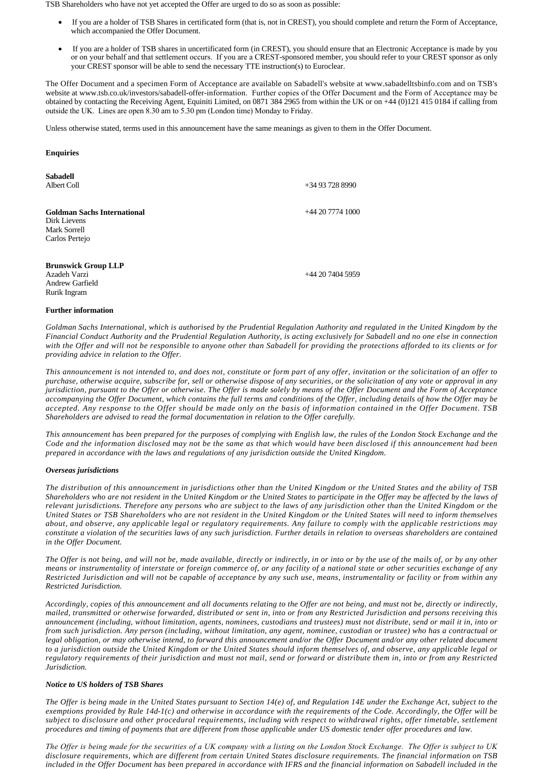TSB Shareholders who have not yet accepted the Offer are urged to do so as soon as possible:

- · If you are a holder of TSB Shares in certificated form (that is, not in CREST), you should complete and return the Form of Acceptance, which accompanied the Offer Document.
- If you are a holder of TSB shares in uncertificated form (in CREST), you should ensure that an Electronic Acceptance is made by you or on your behalf and that settlement occurs. If you are a CREST-sponsored member, you should refer to your CREST sponsor as only your CREST sponsor will be able to send the necessary TTE instruction(s) to Euroclear.

The Offer Document and a specimen Form of Acceptance are available on Sabadell's website at www.sabadelltsbinfo.com and on TSB's website at www.tsb.co.uk/investors/sabadell-offer-information. Further copies of the Offer Document and the Form of Acceptance may be obtained by contacting the Receiving Agent, Equiniti Limited, on 0871 384 2965 from within the UK or on +44 (0)121 415 0184 if calling from outside the UK. Lines are open 8.30 am to 5.30 pm (London time) Monday to Friday.

Unless otherwise stated, terms used in this announcement have the same meanings as given to them in the Offer Document.

# **Enquiries**

| <b>Sabadell</b><br>Albert Coll                                                       | $+34937288990$  |
|--------------------------------------------------------------------------------------|-----------------|
| <b>Goldman Sachs International</b><br>Dirk Lievens<br>Mark Sorrell<br>Carlos Pertejo | $+442077741000$ |
| <b>Brunswick Group LLP</b><br>Azadeh Varzi<br><b>Andrew Garfield</b><br>Rurik Ingram | $+442074045959$ |

## **Further information**

*Goldman Sachs International, which is authorised by the Prudential Regulation Authority and regulated in the United Kingdom by the Financial Conduct Authority and the Prudential Regulation Authority, is acting exclusively for Sabadell and no one else in connection with the Offer and will not be responsible to anyone other than Sabadell for providing the protections afforded to its clients or for providing advice in relation to the Offer.*

*This announcement is not intended to, and does not, constitute or form part of any offer, invitation or the solicitation of an offer to purchase, otherwise acquire, subscribe for, sell or otherwise dispose of any securities, or the solicitation of any vote or approval in any jurisdiction, pursuant to the Offer or otherwise. The Offer is made solely by means of the Offer Document and the Form of Acceptance accompanying the Offer Document, which contains the full terms and conditions of the Offer, including details of how the Offer may be accepted. Any response to the Offer should be made only on the basis of information contained in the Offer Document. TSB Shareholders are advised to read the formal documentation in relation to the Offer carefully.*

*This announcement has been prepared for the purposes of complying with English law, the rules of the London Stock Exchange and the Code and the information disclosed may not be the same as that which would have been disclosed if this announcement had been prepared in accordance with the laws and regulations of any jurisdiction outside the United Kingdom.*

## *Overseas jurisdictions*

*The distribution of this announcement in jurisdictions other than the United Kingdom or the United States and the ability of TSB Shareholders who are not resident in the United Kingdom or the United States to participate in the Offer may be affected by the laws of relevant jurisdictions. Therefore any persons who are subject to the laws of any jurisdiction other than the United Kingdom or the United States or TSB Shareholders who are not resident in the United Kingdom or the United States will need to inform themselves about, and observe, any applicable legal or regulatory requirements. Any failure to comply with the applicable restrictions may constitute a violation of the securities laws of any such jurisdiction. Further details in relation to overseas shareholders are contained in the Offer Document.*

*The Offer is not being, and will not be, made available, directly or indirectly, in or into or by the use of the mails of, or by any other means or instrumentality of interstate or foreign commerce of, or any facility of a national state or other securities exchange of any Restricted Jurisdiction and will not be capable of acceptance by any such use, means, instrumentality or facility or from within any Restricted Jurisdiction.*

*Accordingly, copies of this announcement and all documents relating to the Offer are not being, and must not be, directly or indirectly, mailed, transmitted or otherwise forwarded, distributed or sent in, into or from any Restricted Jurisdiction and persons receiving this announcement (including, without limitation, agents, nominees, custodians and trustees) must not distribute, send or mail it in, into or from such jurisdiction. Any person (including, without limitation, any agent, nominee, custodian or trustee) who has a contractual or legal obligation, or may otherwise intend, to forward this announcement and/or the Offer Document and/or any other related document to a jurisdiction outside the United Kingdom or the United States should inform themselves of, and observe, any applicable legal or regulatory requirements of their jurisdiction and must not mail, send or forward or distribute them in, into or from any Restricted Jurisdiction.*

# *Notice to US holders of TSB Shares*

*The Offer is being made in the United States pursuant to Section 14(e) of, and Regulation 14E under the Exchange Act, subject to the exemptions provided by Rule 14d-1(c) and otherwise in accordance with the requirements of the Code. Accordingly, the Offer will be subject to disclosure and other procedural requirements, including with respect to withdrawal rights, offer timetable, settlement procedures and timing of payments that are different from those applicable under US domestic tender offer procedures and law.*

*The Offer is being made for the securities of a UK company with a listing on the London Stock Exchange. The Offer is subject to UK disclosure requirements, which are different from certain United States disclosure requirements. The financial information on TSB*  included in the Offer Document has been prepared in accordance with IFRS and the financial information on Sabadell included in the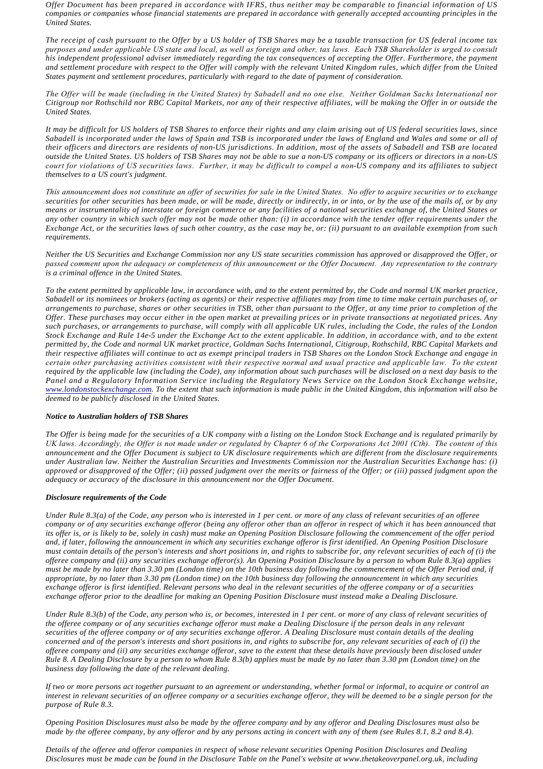*Offer Document has been prepared in accordance with IFRS, thus neither may be comparable to financial information of US companies or companies whose financial statements are prepared in accordance with generally accepted accounting principles in the United States.*

*The receipt of cash pursuant to the Offer by a US holder of TSB Shares may be a taxable transaction for US federal income tax purposes and under applicable US state and local, as well as foreign and other, tax laws. Each TSB Shareholder is urged to consult his independent professional adviser immediately regarding the tax consequences of accepting the Offer. Furthermore, the payment and settlement procedure with respect to the Offer will comply with the relevant United Kingdom rules, which differ from the United States payment and settlement procedures, particularly with regard to the date of payment of consideration.*

*The Offer will be made (including in the United States) by Sabadell and no one else. Neither Goldman Sachs International nor Citigroup nor Rothschild nor RBC Capital Markets, nor any of their respective affiliates, will be making the Offer in or outside the United States.*

*It may be difficult for US holders of TSB Shares to enforce their rights and any claim arising out of US federal securities laws, since Sabadell is incorporated under the laws of Spain and TSB is incorporated under the laws of England and Wales and some or all of their officers and directors are residents of non-US jurisdictions. In addition, most of the assets of Sabadell and TSB are located outside the United States. US holders of TSB Shares may not be able to sue a non-US company or its officers or directors in a non-US court for violations of US securities laws. Further, it may be difficult to compel a non-US company and its affiliates to subject themselves to a US court's judgment.*

*This announcement does not constitute an offer of securities for sale in the United States. No offer to acquire securities or to exchange securities for other securities has been made, or will be made, directly or indirectly, in or into, or by the use of the mails of, or by any means or instrumentality of interstate or foreign commerce or any facilities of a national securities exchange of, the United States or any other country in which such offer may not be made other than: (i) in accordance with the tender offer requirements under the Exchange Act, or the securities laws of such other country, as the case may be, or: (ii) pursuant to an available exemption from such requirements.*

*Neither the US Securities and Exchange Commission nor any US state securities commission has approved or disapproved the Offer, or passed comment upon the adequacy or completeness of this announcement or the Offer Document. Any representation to the contrary is a criminal offence in the United States.*

*To the extent permitted by applicable law, in accordance with, and to the extent permitted by, the Code and normal UK market practice, Sabadell or its nominees or brokers (acting as agents) or their respective affiliates may from time to time make certain purchases of, or arrangements to purchase, shares or other securities in TSB, other than pursuant to the Offer, at any time prior to completion of the Offer. These purchases may occur either in the open market at prevailing prices or in private transactions at negotiated prices. Any such purchases, or arrangements to purchase, will comply with all applicable UK rules, including the Code, the rules of the London Stock Exchange and Rule 14e-5 under the Exchange Act to the extent applicable. In addition, in accordance with, and to the extent permitted by, the Code and normal UK market practice, Goldman Sachs International, Citigroup, Rothschild, RBC Capital Markets and their respective affiliates will continue to act as exempt principal traders in TSB Shares on the London Stock Exchange and engage in certain other purchasing activities consistent with their respective normal and usual practice and applicable law. To the extent required by the applicable law (including the Code), any information about such purchases will be disclosed on a next day basis to the [Panel and a Regulatory Infor](http://www.londonstockexchange.com/)mation Service including the Regulatory News Service on the London Stock Exchange website, www.londonstockexchange.com. To the extent that such information is made public in the United Kingdom, this information will also be deemed to be publicly disclosed in the United States.*

## *Notice to Australian holders of TSB Shares*

*The Offer is being made for the securities of a UK company with a listing on the London Stock Exchange and is regulated primarily by UK laws. Accordingly, the Offer is not made under or regulated by Chapter 6 of the Corporations Act 2001 (Cth). The content of this announcement and the Offer Document is subject to UK disclosure requirements which are different from the disclosure requirements under Australian law. Neither the Australian Securities and Investments Commission nor the Australian Securities Exchange has: (i) approved or disapproved of the Offer; (ii) passed judgment over the merits or fairness of the Offer; or (iii) passed judgment upon the adequacy or accuracy of the disclosure in this announcement nor the Offer Document.*

## *Disclosure requirements of the Code*

*Under Rule 8.3(a) of the Code, any person who is interested in 1 per cent. or more of any class of relevant securities of an offeree company or of any securities exchange offeror (being any offeror other than an offeror in respect of which it has been announced that its offer is, or is likely to be, solely in cash) must make an Opening Position Disclosure following the commencement of the offer period and, if later, following the announcement in which any securities exchange offeror is first identified. An Opening Position Disclosure must contain details of the person's interests and short positions in, and rights to subscribe for, any relevant securities of each of (i) the offeree company and (ii) any securities exchange offeror(s). An Opening Position Disclosure by a person to whom Rule 8.3(a) applies must be made by no later than 3.30 pm (London time) on the 10th business day following the commencement of the Offer Period and, if appropriate, by no later than 3.30 pm (London time) on the 10th business day following the announcement in which any securities exchange offeror is first identified. Relevant persons who deal in the relevant securities of the offeree company or of a securities exchange offeror prior to the deadline for making an Opening Position Disclosure must instead make a Dealing Disclosure.*

*Under Rule 8.3(b) of the Code, any person who is, or becomes, interested in 1 per cent. or more of any class of relevant securities of the offeree company or of any securities exchange offeror must make a Dealing Disclosure if the person deals in any relevant securities of the offeree company or of any securities exchange offeror. A Dealing Disclosure must contain details of the dealing concerned and of the person's interests and short positions in, and rights to subscribe for, any relevant securities of each of (i) the offeree company and (ii) any securities exchange offeror, save to the extent that these details have previously been disclosed under Rule 8. A Dealing Disclosure by a person to whom Rule 8.3(b) applies must be made by no later than 3.30 pm (London time) on the business day following the date of the relevant dealing.*

*If two or more persons act together pursuant to an agreement or understanding, whether formal or informal, to acquire or control an interest in relevant securities of an offeree company or a securities exchange offeror, they will be deemed to be a single person for the purpose of Rule 8.3.*

*Opening Position Disclosures must also be made by the offeree company and by any offeror and Dealing Disclosures must also be made by the offeree company, by any offeror and by any persons acting in concert with any of them (see Rules 8.1, 8.2 and 8.4).*

*Details of the offeree and offeror companies in respect of whose relevant securities Opening Position Disclosures and Dealing Disclosures must be made can be found in the Disclosure Table on the Panel's website at www.thetakeoverpanel.org.uk, including*